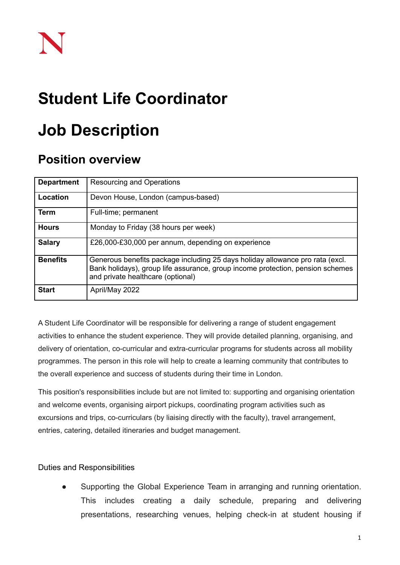## **Student Life Coordinator**

# **Job Description**

## **Position overview**

| <b>Department</b> | Resourcing and Operations                                                                                                                                                                            |
|-------------------|------------------------------------------------------------------------------------------------------------------------------------------------------------------------------------------------------|
| Location          | Devon House, London (campus-based)                                                                                                                                                                   |
| Term              | Full-time; permanent                                                                                                                                                                                 |
| <b>Hours</b>      | Monday to Friday (38 hours per week)                                                                                                                                                                 |
| <b>Salary</b>     | £26,000-£30,000 per annum, depending on experience                                                                                                                                                   |
| <b>Benefits</b>   | Generous benefits package including 25 days holiday allowance pro rata (excl.<br>Bank holidays), group life assurance, group income protection, pension schemes<br>and private healthcare (optional) |
| <b>Start</b>      | April/May 2022                                                                                                                                                                                       |

A Student Life Coordinator will be responsible for delivering a range of student engagement activities to enhance the student experience. They will provide detailed planning, organising, and delivery of orientation, co-curricular and extra-curricular programs for students across all mobility programmes. The person in this role will help to create a learning community that contributes to the overall experience and success of students during their time in London.

This position's responsibilities include but are not limited to: supporting and organising orientation and welcome events, organising airport pickups, coordinating program activities such as excursions and trips, co-curriculars (by liaising directly with the faculty), travel arrangement, entries, catering, detailed itineraries and budget management.

#### Duties and Responsibilities

Supporting the Global Experience Team in arranging and running orientation. This includes creating a daily schedule, preparing and delivering presentations, researching venues, helping check-in at student housing if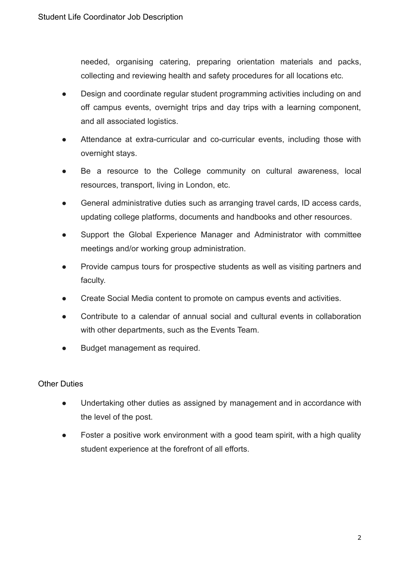needed, organising catering, preparing orientation materials and packs, collecting and reviewing health and safety procedures for all locations etc.

- Design and coordinate regular student programming activities including on and off campus events, overnight trips and day trips with a learning component, and all associated logistics.
- Attendance at extra-curricular and co-curricular events, including those with overnight stays.
- Be a resource to the College community on cultural awareness, local resources, transport, living in London, etc.
- General administrative duties such as arranging travel cards, ID access cards, updating college platforms, documents and handbooks and other resources.
- Support the Global Experience Manager and Administrator with committee meetings and/or working group administration.
- Provide campus tours for prospective students as well as visiting partners and faculty.
- Create Social Media content to promote on campus events and activities.
- Contribute to a calendar of annual social and cultural events in collaboration with other departments, such as the Events Team.
- Budget management as required.

### Other Duties

- Undertaking other duties as assigned by management and in accordance with the level of the post.
- Foster a positive work environment with a good team spirit, with a high quality student experience at the forefront of all efforts.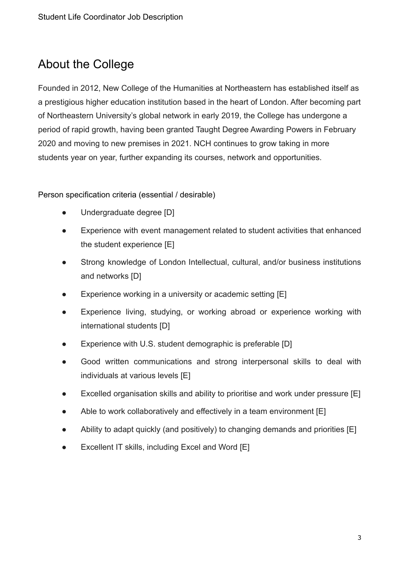## About the College

Founded in 2012, New College of the Humanities at Northeastern has established itself as a prestigious higher education institution based in the heart of London. After becoming part of Northeastern University's global network in early 2019, the College has undergone a period of rapid growth, having been granted Taught Degree Awarding Powers in February 2020 and moving to new premises in 2021. NCH continues to grow taking in more students year on year, further expanding its courses, network and opportunities.

Person specification criteria (essential / desirable)

- Undergraduate degree [D]
- Experience with event management related to student activities that enhanced the student experience [E]
- Strong knowledge of London Intellectual, cultural, and/or business institutions and networks [D]
- Experience working in a university or academic setting [E]
- Experience living, studying, or working abroad or experience working with international students [D]
- Experience with U.S. student demographic is preferable [D]
- Good written communications and strong interpersonal skills to deal with individuals at various levels [E]
- Excelled organisation skills and ability to prioritise and work under pressure [E]
- Able to work collaboratively and effectively in a team environment [E]
- Ability to adapt quickly (and positively) to changing demands and priorities [E]
- Excellent IT skills, including Excel and Word [E]